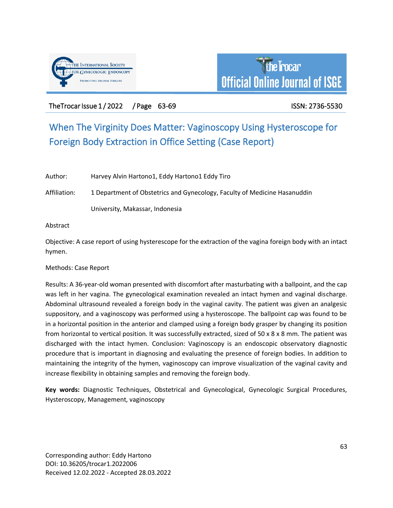



The Trocar Issue 1/2022 / Page 63-69 ISSN: 2736-5530

# When The Virginity Does Matter: Vaginoscopy Using Hysteroscope for Foreign Body Extraction in Office Setting (Case Report)

Author: Harvey Alvin Hartono1, Eddy Hartono1 Eddy Tiro

Affiliation: 1 Department of Obstetrics and Gynecology, Faculty of Medicine Hasanuddin

University, Makassar, Indonesia

Abstract

Objective: A case report of using hysterescope for the extraction of the vagina foreign body with an intact hymen.

Methods: Case Report

Results: A 36-year-old woman presented with discomfort after masturbating with a ballpoint, and the cap was left in her vagina. The gynecological examination revealed an intact hymen and vaginal discharge. Abdominal ultrasound revealed a foreign body in the vaginal cavity. The patient was given an analgesic suppository, and a vaginoscopy was performed using a hysteroscope. The ballpoint cap was found to be in a horizontal position in the anterior and clamped using a foreign body grasper by changing its position from horizontal to vertical position. It was successfully extracted, sized of 50 x 8 x 8 mm. The patient was discharged with the intact hymen. Conclusion: Vaginoscopy is an endoscopic observatory diagnostic procedure that is important in diagnosing and evaluating the presence of foreign bodies. In addition to maintaining the integrity of the hymen, vaginoscopy can improve visualization of the vaginal cavity and increase flexibility in obtaining samples and removing the foreign body.

**Key words:** Diagnostic Techniques, Obstetrical and Gynecological, Gynecologic Surgical Procedures, Hysteroscopy, Management, vaginoscopy

Corresponding author: Eddy Hartono DOI: 10.36205/trocar1.2022006 Received 12.02.2022 - Accepted 28.03.2022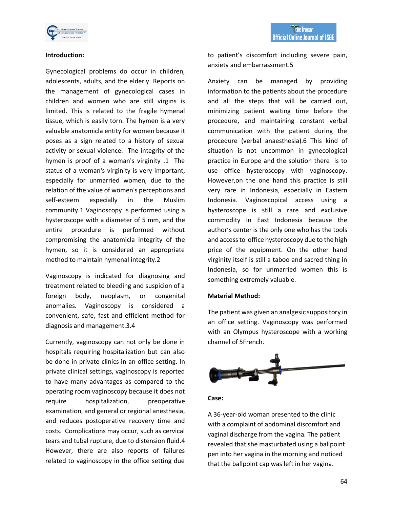

# **Introduction:**

Gynecological problems do occur in children, adolescents, adults, and the elderly. Reports on the management of gynecological cases in children and women who are still virgins is limited. This is related to the fragile hymenal tissue, which is easily torn. The hymen is a very valuable anatomicla entity for women because it poses as a sign related to a history of sexual activity or sexual violence. The integrity of the hymen is proof of a woman's virginity .1 The status of a woman's virginity is very important, especially for unmarried women, due to the relation of the value of women's perceptions and self-esteem especially in the Muslim community.1 Vaginoscopy is performed using a hysteroscope with a diameter of 5 mm, and the entire procedure is performed without compromising the anatomicla integrity of the hymen, so it is considered an appropriate method to maintain hymenal integrity.2

Vaginoscopy is indicated for diagnosing and treatment related to bleeding and suspicion of a foreign body, neoplasm, or congenital anomalies. Vaginoscopy is considered a convenient, safe, fast and efficient method for diagnosis and management.3.4

Currently, vaginoscopy can not only be done in hospitals requiring hospitalization but can also be done in private clinics in an office setting. In private clinical settings, vaginoscopy is reported to have many advantages as compared to the operating room vaginoscopy because it does not require hospitalization, preoperative examination, and general or regional anesthesia, and reduces postoperative recovery time and costs. Complications may occur, such as cervical tears and tubal rupture, due to distension fluid.4 However, there are also reports of failures related to vaginoscopy in the office setting due

to patient's discomfort including severe pain, anxiety and embarrassment.5

Anxiety can be managed by providing information to the patients about the procedure and all the steps that will be carried out, minimizing patient waiting time before the procedure, and maintaining constant verbal communication with the patient during the procedure (verbal anaesthesia).6 This kind of situation is not uncommon in gynecological practice in Europe and the solution there is to use office hysteroscopy with vaginoscopy. However,on the one hand this practice is still very rare in Indonesia, especially in Eastern Indonesia. Vaginoscopical access using a hysteroscope is still a rare and exclusive commodity in East Indonesia because the author's center is the only one who has the tools and access to office hysteroscopy due to the high price of the equipment. On the other hand virginity itself is still a taboo and sacred thing in Indonesia, so for unmarried women this is something extremely valuable.

# **Material Method:**

The patient was given an analgesic suppository in an office setting. Vaginoscopy was performed with an Olympus hysteroscope with a working channel of 5French.



#### **Case:**

A 36-year-old woman presented to the clinic with a complaint of abdominal discomfort and vaginal discharge from the vagina. The patient revealed that she masturbated using a ballpoint pen into her vagina in the morning and noticed that the ballpoint cap was left in her vagina.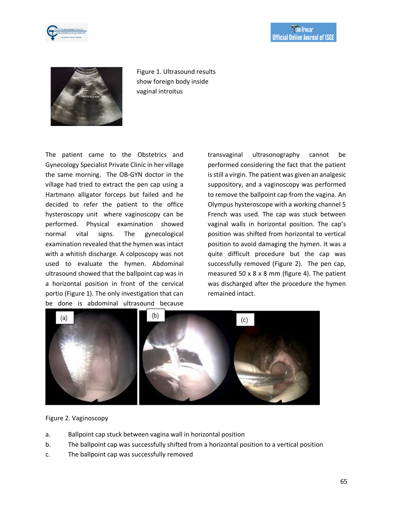



Figure 1. Ultrasound results show foreign body inside vaginal introitus

The patient came to the Obstetrics and Gynecology Specialist Private Clinic in her village the same morning. The OB-GYN doctor in the village had tried to extract the pen cap using a Hartmann alligator forceps but failed and he decided to refer the patient to the office hysteroscopy unit where vaginoscopy can be performed. Physical examination showed normal vital signs. The gynecological examination revealed that the hymen was intact with a whitish discharge. A colposcopy was not used to evaluate the hymen. Abdominal ultrasound showed that the ballpoint cap was in a horizontal position in front of the cervical portio (Figure 1). The only investigation that can be done is abdominal ultrasound because

transvaginal ultrasonography cannot be performed considering the fact that the patient is still a virgin. The patient was given an analgesic suppository, and a vaginoscopy was performed to remove the ballpoint cap from the vagina. An Olympus hysteroscope with a working channel 5 French was used. The cap was stuck between vaginal walls in horizontal position. The cap's position was shifted from horizontal to vertical position to avoid damaging the hymen. It was a quite difficult procedure but the cap was successfully removed (Figure 2). The pen cap, measured 50 x 8 x 8 mm (figure 4). The patient was discharged after the procedure the hymen remained intact.



# Figure 2. Vaginoscopy

- a. Ballpoint cap stuck between vagina wall in horizontal position
- b. The ballpoint cap was successfully shifted from a horizontal position to a vertical position
- c. The ballpoint cap was successfully removed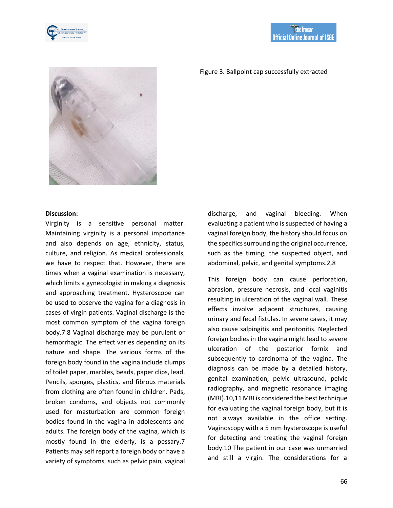



#### Figure 3. Ballpoint cap successfully extracted

#### **Discussion:**

Virginity is a sensitive personal matter. Maintaining virginity is a personal importance and also depends on age, ethnicity, status, culture, and religion. As medical professionals, we have to respect that. However, there are times when a vaginal examination is necessary, which limits a gynecologist in making a diagnosis and approaching treatment. Hysteroscope can be used to observe the vagina for a diagnosis in cases of virgin patients. Vaginal discharge is the most common symptom of the vagina foreign body.7.8 Vaginal discharge may be purulent or hemorrhagic. The effect varies depending on its nature and shape. The various forms of the foreign body found in the vagina include clumps of toilet paper, marbles, beads, paper clips, lead. Pencils, sponges, plastics, and fibrous materials from clothing are often found in children. Pads, broken condoms, and objects not commonly used for masturbation are common foreign bodies found in the vagina in adolescents and adults. The foreign body of the vagina, which is mostly found in the elderly, is a pessary.7 Patients may self report a foreign body or have a variety of symptoms, such as pelvic pain, vaginal

discharge, and vaginal bleeding. When evaluating a patient who is suspected of having a vaginal foreign body, the history should focus on the specifics surrounding the original occurrence, such as the timing, the suspected object, and abdominal, pelvic, and genital symptoms.2,8

This foreign body can cause perforation, abrasion, pressure necrosis, and local vaginitis resulting in ulceration of the vaginal wall. These effects involve adjacent structures, causing urinary and fecal fistulas. In severe cases, it may also cause salpingitis and peritonitis. Neglected foreign bodies in the vagina might lead to severe ulceration of the posterior fornix and subsequently to carcinoma of the vagina. The diagnosis can be made by a detailed history, genital examination, pelvic ultrasound, pelvic radiography, and magnetic resonance imaging (MRI).10,11 MRI is considered the best technique for evaluating the vaginal foreign body, but it is not always available in the office setting. Vaginoscopy with a 5 mm hysteroscope is useful for detecting and treating the vaginal foreign body.10 The patient in our case was unmarried and still a virgin. The considerations for a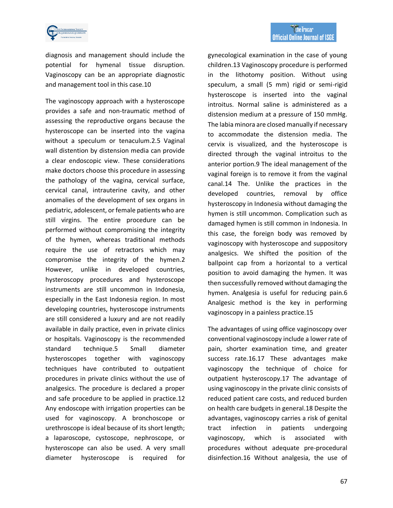

diagnosis and management should include the potential for hymenal tissue disruption. Vaginoscopy can be an appropriate diagnostic and management tool in this case.10

The vaginoscopy approach with a hysteroscope provides a safe and non-traumatic method of assessing the reproductive organs because the hysteroscope can be inserted into the vagina without a speculum or tenaculum.2.5 Vaginal wall distention by distension media can provide a clear endoscopic view. These considerations make doctors choose this procedure in assessing the pathology of the vagina, cervical surface, cervical canal, intrauterine cavity, and other anomalies of the development of sex organs in pediatric, adolescent, or female patients who are still virgins. The entire procedure can be performed without compromising the integrity of the hymen, whereas traditional methods require the use of retractors which may compromise the integrity of the hymen.2 However, unlike in developed countries, hysteroscopy procedures and hysteroscope instruments are still uncommon in Indonesia, especially in the East Indonesia region. In most developing countries, hysteroscope instruments are still considered a luxury and are not readily available in daily practice, even in private clinics or hospitals. Vaginoscopy is the recommended standard technique.5 Small diameter hysteroscopes together with vaginoscopy techniques have contributed to outpatient procedures in private clinics without the use of analgesics. The procedure is declared a proper and safe procedure to be applied in practice.12 Any endoscope with irrigation properties can be used for vaginoscopy. A bronchoscope or urethroscope is ideal because of its short length; a laparoscope, cystoscope, nephroscope, or hysteroscope can also be used. A very small diameter hysteroscope is required for

gynecological examination in the case of young children.13 Vaginoscopy procedure is performed in the lithotomy position. Without using speculum, a small (5 mm) rigid or semi-rigid hysteroscope is inserted into the vaginal introitus. Normal saline is administered as a distension medium at a pressure of 150 mmHg. The labia minora are closed manually if necessary to accommodate the distension media. The cervix is visualized, and the hysteroscope is directed through the vaginal introitus to the anterior portion.9 The ideal management of the vaginal foreign is to remove it from the vaginal canal.14 The. Unlike the practices in the developed countries, removal by office hysteroscopy in Indonesia without damaging the hymen is still uncommon. Complication such as damaged hymen is still common in Indonesia. In this case, the foreign body was removed by vaginoscopy with hysteroscope and suppository analgesics. We shifted the position of the ballpoint cap from a horizontal to a vertical position to avoid damaging the hymen. It was then successfully removed without damaging the hymen. Analgesia is useful for reducing pain.6 Analgesic method is the key in performing vaginoscopy in a painless practice.15

The advantages of using office vaginoscopy over conventional vaginoscopy include a lower rate of pain, shorter examination time, and greater success rate.16.17 These advantages make vaginoscopy the technique of choice for outpatient hysteroscopy.17 The advantage of using vaginoscopy in the private clinic consists of reduced patient care costs, and reduced burden on health care budgets in general.18 Despite the advantages, vaginoscopy carries a risk of genital tract infection in patients undergoing vaginoscopy, which is associated with procedures without adequate pre-procedural disinfection.16 Without analgesia, the use of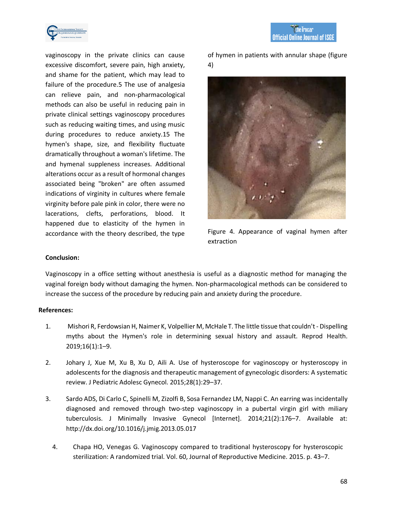

**the Trocar Official Online Journal of ISGE** 

vaginoscopy in the private clinics can cause excessive discomfort, severe pain, high anxiety, and shame for the patient, which may lead to failure of the procedure.5 The use of analgesia can relieve pain, and non-pharmacological methods can also be useful in reducing pain in private clinical settings vaginoscopy procedures such as reducing waiting times, and using music during procedures to reduce anxiety.15 The hymen's shape, size, and flexibility fluctuate dramatically throughout a woman's lifetime. The and hymenal suppleness increases. Additional alterations occur as a result of hormonal changes associated being "broken" are often assumed indications of virginity in cultures where female virginity before pale pink in color, there were no lacerations, clefts, perforations, blood. It happened due to elasticity of the hymen in accordance with the theory described, the type

of hymen in patients with annular shape (figure 4)



Figure 4. Appearance of vaginal hymen after extraction

# **Conclusion:**

Vaginoscopy in a office setting without anesthesia is useful as a diagnostic method for managing the vaginal foreign body without damaging the hymen. Non-pharmacological methods can be considered to increase the success of the procedure by reducing pain and anxiety during the procedure.

# **References:**

- 1. Mishori R, Ferdowsian H, Naimer K, Volpellier M, McHale T. The little tissue that couldn't- Dispelling myths about the Hymen's role in determining sexual history and assault. Reprod Health. 2019;16(1):1–9.
- 2. Johary J, Xue M, Xu B, Xu D, Aili A. Use of hysteroscope for vaginoscopy or hysteroscopy in adolescents for the diagnosis and therapeutic management of gynecologic disorders: A systematic review. J Pediatric Adolesc Gynecol. 2015;28(1):29–37.
- 3. Sardo ADS, Di Carlo C, Spinelli M, Zizolfi B, Sosa Fernandez LM, Nappi C. An earring was incidentally diagnosed and removed through two-step vaginoscopy in a pubertal virgin girl with miliary tuberculosis. J Minimally Invasive Gynecol [Internet]. 2014;21(2):176–7. Available at: <http://dx.doi.org/10.1016/j.jmig.2013.05.017>
	- 4. Chapa HO, Venegas G. Vaginoscopy compared to traditional hysteroscopy for hysteroscopic sterilization: A randomized trial. Vol. 60, Journal of Reproductive Medicine. 2015. p. 43–7.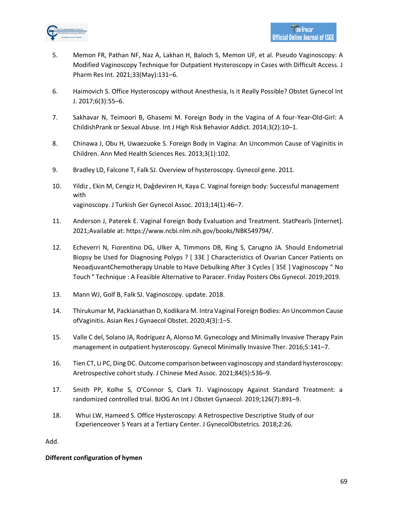

- 5. Memon FR, Pathan NF, Naz A, Lakhan H, Baloch S, Memon UF, et al. Pseudo Vaginoscopy: A Modified Vaginoscopy Technique for Outpatient Hysteroscopy in Cases with Difficult Access. J Pharm Res Int. 2021;33(May):131–6.
- 6. Haimovich S. Office Hysteroscopy without Anesthesia, Is it Really Possible? Obstet Gynecol Int J. 2017;6(3):55–6.
- 7. Sakhavar N, Teimoori B, Ghasemi M. Foreign Body in the Vagina of A four-Year-Old-Girl: A ChildishPrank or Sexual Abuse. Int J High Risk Behavior Addict. 2014;3(2):10–1.
- 8. Chinawa J, Obu H, Uwaezuoke S. Foreign Body in Vagina: An Uncommon Cause of Vaginitis in Children. Ann Med Health Sciences Res. 2013;3(1):102.
- 9. Bradley LD, Falcone T, Falk SJ. Overview of hysteroscopy. Gynecol gene. 2011.
- 10. Yildiz, Ekin M, Cengiz H, Daǧdeviren H, Kaya C. Vaginal foreign body: Successful management with vaginoscopy. J Turkish Ger Gynecol Assoc. 2013;14(1):46–7.
- 11. Anderson J, Paterek E. Vaginal Foreign Body Evaluation and Treatment. StatPearls [Internet]. 2021;Available at: https:/[/www.ncbi.nlm.nih.gov/books/NBK549794/.](http://www.ncbi.nlm.nih.gov/books/NBK549794/)
- 12. Echeverri N, Fiorentino DG, Ulker A, Timmons DB, Ring S, Carugno JA. Should Endometrial Biopsy be Used for Diagnosing Polyps ? [ 33E ] Characteristics of Ovarian Cancer Patients on NeoadjuvantChemotherapy Unable to Have Debulking After 3 Cycles [ 35E ] Vaginoscopy " No Touch " Technique : A Feasible Alternative to Paracer. Friday Posters Obs Gynecol. 2019;2019.
- 13. Mann WJ, Golf B, Falk SJ. Vaginoscopy. update. 2018.
- 14. Thirukumar M, Packianathan D, Kodikara M. Intra Vaginal Foreign Bodies: An Uncommon Cause ofVaginitis. Asian Res J Gynaecol Obstet. 2020;4(3):1–5.
- 15. Valle C del, Solano JA, Rodríguez A, Alonso M. Gynecology and Minimally Invasive Therapy Pain management in outpatient hysteroscopy. Gynecol Minimally Invasive Ther. 2016;5:141–7.
- 16. Tien CT, Li PC, Ding DC. Outcome comparison between vaginoscopy and standard hysteroscopy: Aretrospective cohort study. J Chinese Med Assoc. 2021;84(5):536–9.
- 17. Smith PP, Kolhe S, O'Connor S, Clark TJ. Vaginoscopy Against Standard Treatment: a randomized controlled trial. BJOG An Int J Obstet Gynaecol. 2019;126(7):891–9.
- 18. Whui LW, Hameed S. Office Hysteroscopy: A Retrospective Descriptive Study of our Experienceover 5 Years at a Tertiary Center. J GynecolObstetrics. 2018;2:26.

Add.

# **Different configuration of hymen**